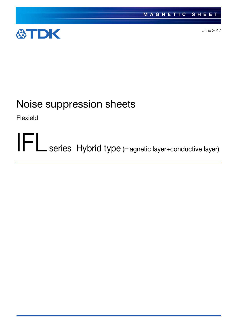

June 2017

# Noise suppression sheets

Flexield

IFL series Hybrid type (magnetic layer+conductive layer)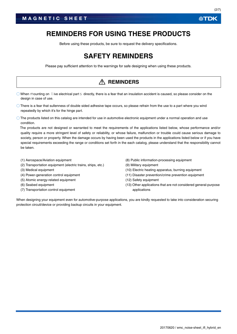## **REMINDERS FOR USING THESE PRODUCTS**

Before using these products, be sure to request the delivery specifications.

## **SAFETY REMINDERS**

Please pay sufficient attention to the warnings for safe designing when using these products.

### **REMINDERS**

 $\circ$  When mounting on live electrical part  $s$  directly, there is a fear that an insulation accident is caused, so please consider on the design in case of use.

- There is a fear that sullenness of double sided adhesive tape occurs, so please refrain from the use to a part where you wind repeatedly by which it's for the hinge part.
- $\bigcirc$  The products listed on this catalog are intended for use in automotive electronic equipment under a normal operation and use condition.

The products are not designed or warranted to meet the requirements of the applications listed below, whose performance and/or quality require a more stringent level of safety or reliability, or whose failure, malfunction or trouble could cause serious damage to society, person or property. When the damage occurs by having been used the products in the applications listed below or if you have special requirements exceeding the range or conditions set forth in the each catalog, please understand that the responsibility cannot be taken.

- (1) Aerospace/Aviation equipment
- (2) Transportation equipment (electric trains, ships, etc.)
- (3) Medical equipment
- (4) Power-generation control equipment
- (5) Atomic energy-related equipment
- (6) Seabed equipment
- (7) Transportation control equipment
- (8) Public information-processing equipment
- (9) Military equipment
- (10) Electric heating apparatus, burning equipment
- (11) Disaster prevention/crime prevention equipment
- (12) Safety equipment
- (13) Other applications that are not considered general-purpose applications

When designing your equipment even for automotive-purpose applications, you are kindly requested to take into consideration securing protection circuit/device or providing backup circuits in your equipment.

*<b>ATDK*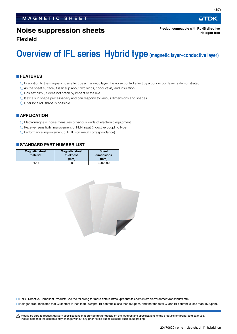## **Noise suppression sheets**

**Flexield**

## **Overview of IFL series Hybrid type (magnetic layer+conductive layer)**

#### **FEATURES**

- $\bigcirc$  In addition to the magnetic loss effect by a magnetic layer, the noise control effect by a conduction layer is demonstrated.
- As the sheet surface, it is lineup about two kinds, conductivity and insulation.
- $\bigcirc$  Has flexibility, it does not crack by impact or the like.
- $\bigcirc$  It excels in shape processability and can respond to various dimensions and shapes.
- $\bigcirc$  Offer by a roll shape is possible.

#### **APPLICATION**

- Electromagnetic noise measures of various kinds of electronic equipment
- Receiver sensitivity improvement of PEN input (inductive coupling type)
- Performance improvement of RFID (on metal correspondence)

#### **STANDARD PART NUMBER LIST**

| <b>Magnetic sheet</b> | <b>Magnetic sheet</b> | <b>Sheet</b> |  |
|-----------------------|-----------------------|--------------|--|
| material              | thickness             | dimensions   |  |
|                       | (mm)                  | (mm)         |  |
| IFL <sub>16</sub>     | 0.03                  | 300×200      |  |



RoHS Directive Compliant Product: See the following for more details.https://product.tdk.com/info/en/environment/rohs/index.html Halogen-free: Indicates that Cl content is less than 900ppm, Br content is less than 900ppm, and that the total Cl and Br content is less than 1500ppm.

∰TDK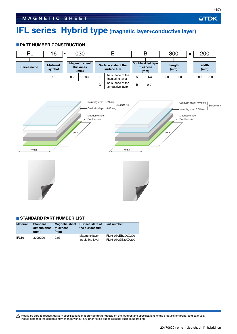## **IFL series Hybrid type (magnetic layer+conductive layer)**

#### **PART NUMBER CONSTRUCTION**



#### **STANDARD PART NUMBER LIST**

| <b>Material</b>   | <b>Standard</b><br>dimensionss<br>(mm) | <b>Magnetic sheet</b><br>thickness<br>(mm) | Surface state of<br>the surface film | <b>Part number</b> |
|-------------------|----------------------------------------|--------------------------------------------|--------------------------------------|--------------------|
| IFL <sub>16</sub> | 300×200                                | 0.03                                       | Magnetic layer                       | IFL16-030EB300X200 |
|                   |                                        |                                            | Insulating layer                     | IFL16-030GB300X200 |

Please be sure to request delivery specifications that provide further details on the features and specifications of the products for proper and safe use.<br>Please note that the contents may change without any prior notice d

**公TDK** 

20170620 / emc\_noise-sheet\_ifl\_hybrid\_en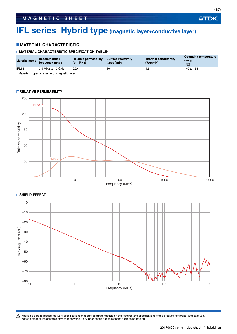## **IFL series Hybrid type (magnetic layer+conductive layer)**

#### **MATERIAL CHARACTERISTIC**

#### **MATERIAL CHARACTERISTIC SPECIFICATION TABLE**

| <b>Material name</b> | Recommended<br>frequency range | Relative permeability<br>(at 1MHz) | <b>Surface resistivity</b><br>$(\Omega/\text{sq.})$ min | <b>Thermal conductivity</b><br>$(W/m \cdot K)$ | <b>Operating temperature</b><br>range<br>(°C) |
|----------------------|--------------------------------|------------------------------------|---------------------------------------------------------|------------------------------------------------|-----------------------------------------------|
| IFL <sub>16</sub>    | 0.5 MHz to 10 GHz              | 220                                | 10k                                                     |                                                | $-40$ to $+85$                                |
|                      |                                |                                    |                                                         |                                                |                                               |

Material property is value of magnetic layer.

## 250 IFL16 µ' 200 Relative permeability Relative permeability 150 100 IFL16 µ'' 50  $\begin{smallmatrix} 0 \\ 1 \end{smallmatrix}$ 1 10 100 1000 1000 1000 1000 10000 10000 10000 10000 10000 10000 10000 10000 10000 10000 10000 10000 10000 100 Frequency (MHz) **SHIELD EFFECT** 0

#### **RELATIVE PERMEABILITY**



Please be sure to request delivery specifications that provide further details on the features and specifications of the products for proper and safe use.<br>Please note that the contents may change without any prior notice d

**公TDK**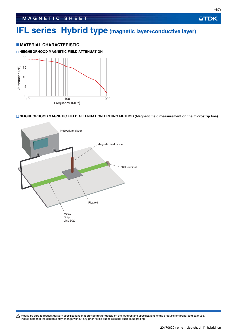## **IFL series Hybrid type (magnetic layer+conductive layer)**

#### **MATERIAL CHARACTERISTIC**

#### **NEIGHBORHOOD MAGNETIC FIELD ATTENUATION**



#### **NEIGHBORHOOD MAGNETIC FIELD ATTENUATION TESTING METHOD (Magnetic field measurement on the microstrip line)**



Please be sure to request delivery specifications that provide further details on the features and specifications of the products for proper and safe use.<br>Please note that the contents may change without any prior notice d

**公TDK**